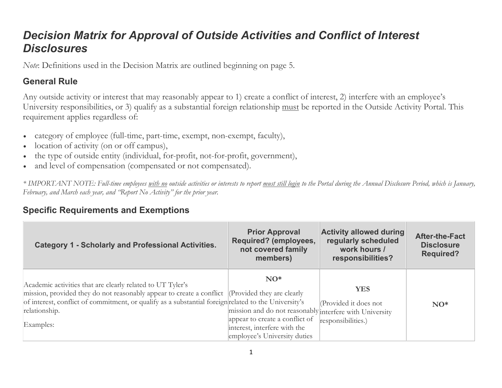# *Decision Matrix for Approval of Outside Activities and Conflict of Interest Disclosures*

*Note*: Definitions used in the Decision Matrix are outlined beginning on page 5.

### **General Rule**

Any outside activity or interest that may reasonably appear to 1) create a conflict of interest, 2) interfere with an employee's University responsibilities, or 3) qualify as a substantial foreign relationship must be reported in the Outside Activity Portal. This requirement applies regardless of:

- category of employee (full-time, part-time, exempt, non-exempt, faculty),
- location of activity (on or off campus),
- the type of outside entity (individual, for-profit, not-for-profit, government),
- and level of compensation (compensated or not compensated).

*\* IMPORTANT NOTE: Full-time employees with no outside activities or interests to report must still login to the Portal during the Annual Disclosure Period, which is January, February, and March each year, and "Report No Activity" for the prior year.*

#### **Specific Requirements and Exemptions**

| <b>Category 1 - Scholarly and Professional Activities.</b>                                                                                                                                                                                                                                          | <b>Prior Approval</b><br>Required? (employees,<br>not covered family<br>members)                                                                                   | <b>Activity allowed during</b><br>regularly scheduled<br>work hours /<br>responsibilities? | <b>After-the-Fact</b><br><b>Disclosure</b><br><b>Required?</b> |
|-----------------------------------------------------------------------------------------------------------------------------------------------------------------------------------------------------------------------------------------------------------------------------------------------------|--------------------------------------------------------------------------------------------------------------------------------------------------------------------|--------------------------------------------------------------------------------------------|----------------------------------------------------------------|
| Academic activities that are clearly related to UT Tyler's<br>mission, provided they do not reasonably appear to create a conflict (Provided they are clearly<br>of interest, conflict of commitment, or qualify as a substantial foreign related to the University's<br>relationship.<br>Examples: | $NO*$<br>mission and do not reasonably interfere with University<br>appear to create a conflict of<br>interest, interfere with the<br>employee's University duties | <b>YES</b><br>(Provided it does not<br>responsibilities.)                                  | $NO*$                                                          |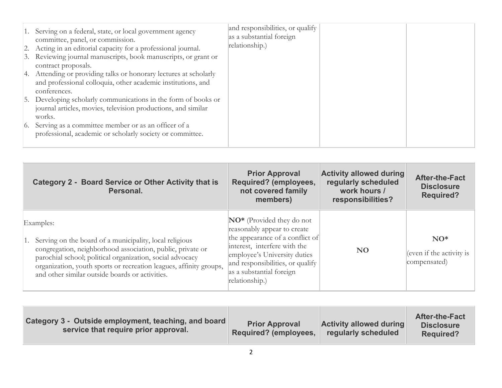| 1. Serving on a federal, state, or local government agency<br>committee, panel, or commission.<br>2. Acting in an editorial capacity for a professional journal.<br>3. Reviewing journal manuscripts, book manuscripts, or grant or<br>contract proposals.<br>4. Attending or providing talks or honorary lectures at scholarly<br>and professional colloquia, other academic institutions, and<br>conferences.<br>5. Developing scholarly communications in the form of books or | and responsibilities, or qualify<br>as a substantial foreign<br>relationship.) |  |
|-----------------------------------------------------------------------------------------------------------------------------------------------------------------------------------------------------------------------------------------------------------------------------------------------------------------------------------------------------------------------------------------------------------------------------------------------------------------------------------|--------------------------------------------------------------------------------|--|
| journal articles, movies, television productions, and similar<br>works.                                                                                                                                                                                                                                                                                                                                                                                                           |                                                                                |  |
| 6. Serving as a committee member or as an officer of a<br>professional, academic or scholarly society or committee.                                                                                                                                                                                                                                                                                                                                                               |                                                                                |  |

| <b>Category 2 - Board Service or Other Activity that is</b><br>Personal.                                                                                                                                                                                                                                                    | <b>Prior Approval</b><br>Required? (employees,<br>not covered family<br>members)                                                                                                                                                                          | <b>Activity allowed during</b><br>regularly scheduled<br>work hours /<br>responsibilities? | <b>After-the-Fact</b><br><b>Disclosure</b><br><b>Required?</b> |
|-----------------------------------------------------------------------------------------------------------------------------------------------------------------------------------------------------------------------------------------------------------------------------------------------------------------------------|-----------------------------------------------------------------------------------------------------------------------------------------------------------------------------------------------------------------------------------------------------------|--------------------------------------------------------------------------------------------|----------------------------------------------------------------|
| Examples:<br>1. Serving on the board of a municipality, local religious<br>congregation, neighborhood association, public, private or<br>parochial school; political organization, social advocacy<br>organization, youth sports or recreation leagues, affinity groups,<br>and other similar outside boards or activities. | $\mathbb{N}O^*$ (Provided they do not<br>reasonably appear to create<br>the appearance of a conflict of<br>interest, interfere with the<br>employee's University duties<br>and responsibilities, or qualify<br>as a substantial foreign<br>relationship.) | <b>NO</b>                                                                                  | $NO*$<br>(even if the activity is<br>compensated)              |

| Category 3 - Outside employment, teaching, and board<br>service that require prior approval. | <b>Prior Approval</b><br><b>Required? (employees,</b> | <b>Activity allowed during</b><br>regularly scheduled | <b>After-the-Fact</b><br><b>Disclosure</b><br><b>Required?</b> |
|----------------------------------------------------------------------------------------------|-------------------------------------------------------|-------------------------------------------------------|----------------------------------------------------------------|
|----------------------------------------------------------------------------------------------|-------------------------------------------------------|-------------------------------------------------------|----------------------------------------------------------------|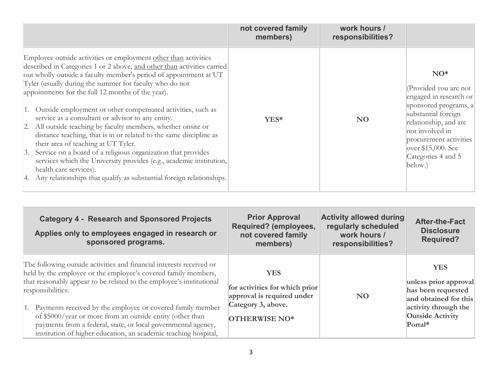|                                                                                                                                                                                                                                                                                                                                                                                                                                                                                                                                                                                                                                                                                                                                                                                                                                                                                         | not covered family<br>members) | work hours /<br>responsibilities? |                                                                                                                                                                                                                                       |
|-----------------------------------------------------------------------------------------------------------------------------------------------------------------------------------------------------------------------------------------------------------------------------------------------------------------------------------------------------------------------------------------------------------------------------------------------------------------------------------------------------------------------------------------------------------------------------------------------------------------------------------------------------------------------------------------------------------------------------------------------------------------------------------------------------------------------------------------------------------------------------------------|--------------------------------|-----------------------------------|---------------------------------------------------------------------------------------------------------------------------------------------------------------------------------------------------------------------------------------|
| Employee outside activities or employment other than activities<br>described in Categories 1 or 2 above, and other than activities carried<br>out wholly outside a faculty member's period of appointment at UT<br>Tyler (usually during the summer for faculty who do not<br>appointments for the full 12 months of the year).<br>1. Outside employment or other compensated activities, such as<br>service as a consultant or advisor to any entity.<br>2. All outside teaching by faculty members, whether onsite or<br>distance teaching, that is in or related to the same discipline as<br>their area of teaching at UT Tyler.<br>Service on a board of a religious organization that provides<br> 3.<br>services which the University provides (e.g., academic institution,<br>health care services).<br>4. Any relationships that qualify as substantial foreign relationships. | YES*                           | <b>NO</b>                         | $NO*$<br>(Provided you are not<br>engaged in research or<br>sponsored programs, a<br>substantial foreign<br>relationship, and are<br>not involved in<br>procurement activities<br>over \$15,000. See<br>Categories 4 and 5<br>below.) |

| <b>Category 4 - Research and Sponsored Projects</b><br>Applies only to employees engaged in research or<br>sponsored programs.                                                                                                                                                                                                                                                                                                                                                                        | <b>Prior Approval</b><br>Required? (employees,<br>not covered family<br>members)                                  | <b>Activity allowed during</b><br>regularly scheduled<br>work hours /<br>responsibilities? | <b>After-the-Fact</b><br><b>Disclosure</b><br><b>Required?</b>                                                                                   |
|-------------------------------------------------------------------------------------------------------------------------------------------------------------------------------------------------------------------------------------------------------------------------------------------------------------------------------------------------------------------------------------------------------------------------------------------------------------------------------------------------------|-------------------------------------------------------------------------------------------------------------------|--------------------------------------------------------------------------------------------|--------------------------------------------------------------------------------------------------------------------------------------------------|
| The following outside activities and financial interests received or<br>held by the employee or the employee's covered family members,<br>that reasonably appear to be related to the employee's institutional<br>responsibilities:<br>1. Payments received by the employee or covered family member<br>of \$5000/year or more from an outside entity (other than<br>payments from a federal, state, or local governmental agency,<br>institution of higher education, an academic teaching hospital, | <b>YES</b><br>for activities for which prior<br>approval is required under<br>Category 3, above.<br>OTHERWISE NO* | N <sub>O</sub>                                                                             | <b>YES</b><br>unless prior approval<br>has been requested<br>and obtained for this<br>activity through the<br><b>Outside Activity</b><br>Portal* |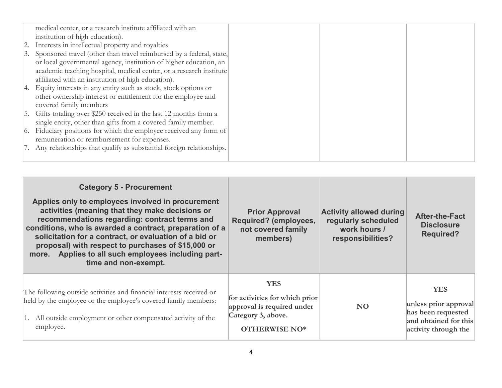| medical center, or a research institute affiliated with an              |  |  |
|-------------------------------------------------------------------------|--|--|
| institution of high education).                                         |  |  |
| 2. Interests in intellectual property and royalties                     |  |  |
| 3. Sponsored travel (other than travel reimbursed by a federal, state,  |  |  |
| or local governmental agency, institution of higher education, an       |  |  |
| academic teaching hospital, medical center, or a research institute     |  |  |
| affiliated with an institution of high education).                      |  |  |
| 4. Equity interests in any entity such as stock, stock options or       |  |  |
| other ownership interest or entitlement for the employee and            |  |  |
| covered family members                                                  |  |  |
| 5. Gifts totaling over \$250 received in the last 12 months from a      |  |  |
| single entity, other than gifts from a covered family member.           |  |  |
| 6. Fiduciary positions for which the employee received any form of      |  |  |
| remuneration or reimbursement for expenses.                             |  |  |
| 7. Any relationships that qualify as substantial foreign relationships. |  |  |
|                                                                         |  |  |

| <b>Category 5 - Procurement</b><br>Applies only to employees involved in procurement<br>activities (meaning that they make decisions or<br>recommendations regarding: contract terms and<br>conditions, who is awarded a contract, preparation of a<br>solicitation for a contract, or evaluation of a bid or<br>proposal) with respect to purchases of \$15,000 or<br>Applies to all such employees including part-<br>more.<br>time and non-exempt. | <b>Prior Approval</b><br>Required? (employees,<br>not covered family<br>members)                                         | <b>Activity allowed during</b><br>regularly scheduled<br>work hours /<br>responsibilities? | <b>After-the-Fact</b><br><b>Disclosure</b><br><b>Required?</b>                                             |
|-------------------------------------------------------------------------------------------------------------------------------------------------------------------------------------------------------------------------------------------------------------------------------------------------------------------------------------------------------------------------------------------------------------------------------------------------------|--------------------------------------------------------------------------------------------------------------------------|--------------------------------------------------------------------------------------------|------------------------------------------------------------------------------------------------------------|
| The following outside activities and financial interests received or<br>held by the employee or the employee's covered family members:<br>1. All outside employment or other compensated activity of the<br>employee.                                                                                                                                                                                                                                 | <b>YES</b><br>for activities for which prior<br>approval is required under<br>Category 3, above.<br><b>OTHERWISE NO*</b> | N <sub>O</sub>                                                                             | <b>YES</b><br>unless prior approval<br>has been requested<br>and obtained for this<br>activity through the |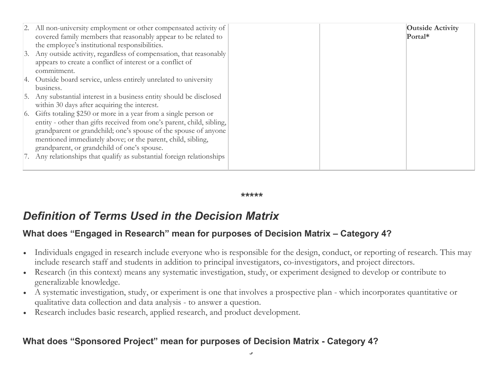| 2. All non-university employment or other compensated activity of      |  | <b>Outside Activity</b> |
|------------------------------------------------------------------------|--|-------------------------|
| covered family members that reasonably appear to be related to         |  | Portal*                 |
| the employee's institutional responsibilities.                         |  |                         |
| 3. Any outside activity, regardless of compensation, that reasonably   |  |                         |
| appears to create a conflict of interest or a conflict of              |  |                         |
| commitment.                                                            |  |                         |
| 4. Outside board service, unless entirely unrelated to university      |  |                         |
| business.                                                              |  |                         |
| Any substantial interest in a business entity should be disclosed      |  |                         |
| within 30 days after acquiring the interest.                           |  |                         |
| 6. Gifts totaling \$250 or more in a year from a single person or      |  |                         |
| entity - other than gifts received from one's parent, child, sibling,  |  |                         |
| grandparent or grandchild; one's spouse of the spouse of anyone        |  |                         |
| mentioned immediately above; or the parent, child, sibling,            |  |                         |
| grandparent, or grandchild of one's spouse.                            |  |                         |
| 7. Any relationships that qualify as substantial foreign relationships |  |                         |
|                                                                        |  |                         |

*\*\*\*\*\**

# *Definition of Terms Used in the Decision Matrix*

## **What does "Engaged in Research" mean for purposes of Decision Matrix – Category 4?**

- Individuals engaged in research include everyone who is responsible for the design, conduct, or reporting of research. This may include research staff and students in addition to principal investigators, co-investigators, and project directors.
- Research (in this context) means any systematic investigation, study, or experiment designed to develop or contribute to generalizable knowledge.
- A systematic investigation, study, or experiment is one that involves a prospective plan which incorporates quantitative or qualitative data collection and data analysis - to answer a question.
- Research includes basic research, applied research, and product development.

# **What does "Sponsored Project" mean for purposes of Decision Matrix - Category 4?**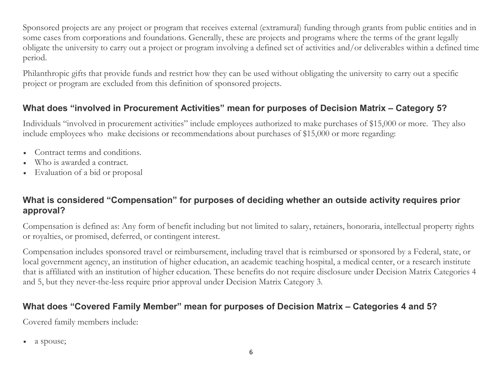Sponsored projects are any project or program that receives external (extramural) funding through grants from public entities and in some cases from corporations and foundations. Generally, these are projects and programs where the terms of the grant legally obligate the university to carry out a project or program involving a defined set of activities and/or deliverables within a defined time period.

Philanthropic gifts that provide funds and restrict how they can be used without obligating the university to carry out a specific project or program are excluded from this definition of sponsored projects.

#### **What does "involved in Procurement Activities" mean for purposes of Decision Matrix – Category 5?**

Individuals "involved in procurement activities" include employees authorized to make purchases of \$15,000 or more. They also include employees who make decisions or recommendations about purchases of \$15,000 or more regarding:

- Contract terms and conditions.
- Who is awarded a contract.
- Evaluation of a bid or proposal

#### **What is considered "Compensation" for purposes of deciding whether an outside activity requires prior approval?**

Compensation is defined as: Any form of benefit including but not limited to salary, retainers, honoraria, intellectual property rights or royalties, or promised, deferred, or contingent interest.

Compensation includes sponsored travel or reimbursement, including travel that is reimbursed or sponsored by a Federal, state, or local government agency, an institution of higher education, an academic teaching hospital, a medical center, or a research institute that is affiliated with an institution of higher education. These benefits do not require disclosure under Decision Matrix Categories 4 and 5, but they never-the-less require prior approval under Decision Matrix Category 3.

## **What does "Covered Family Member" mean for purposes of Decision Matrix – Categories 4 and 5?**

Covered family members include:

• a spouse;